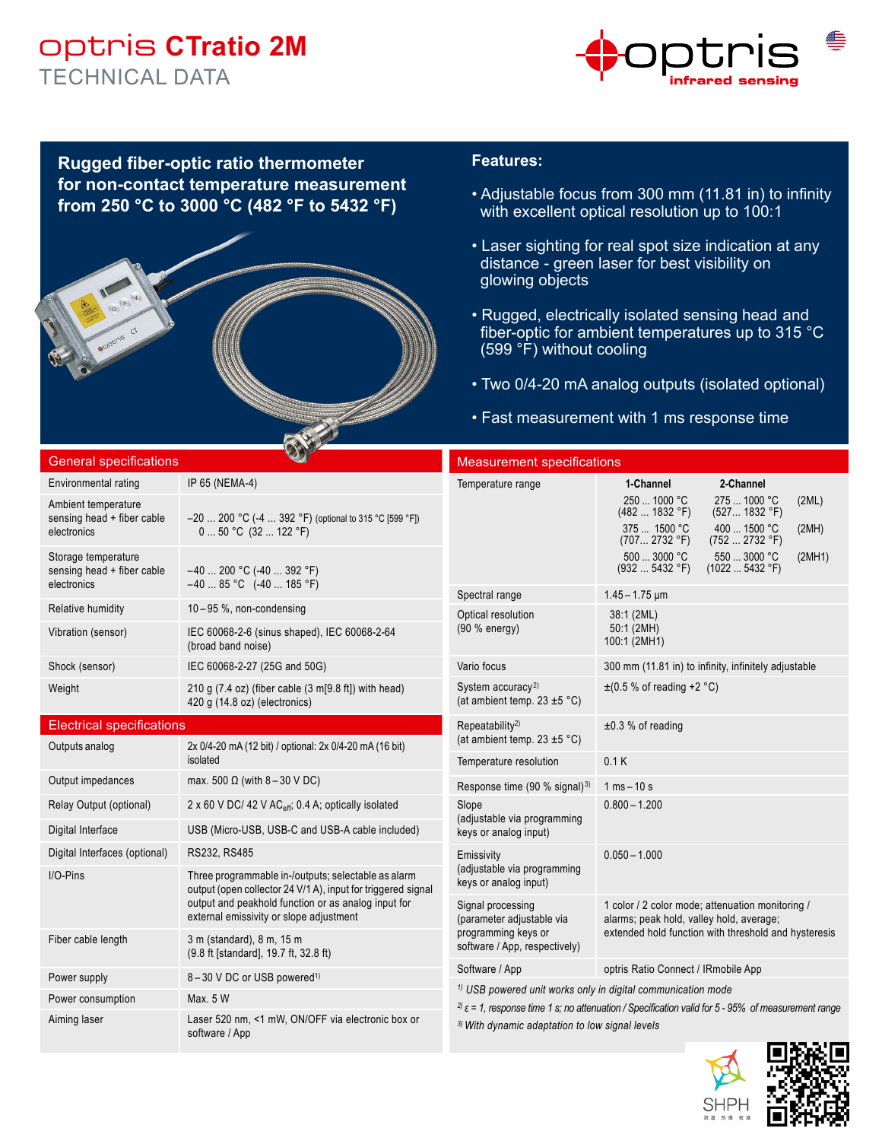## optris **CTratio 2M** TECHNICAL DATA



**Rugged fiber-optic ratio thermometer for non-contact temperature measurement from 250 °C to 3000 °C (482 °F to 5432 °F)**

### **Features:**

- Adjustable focus from 300 mm (11.81 in) to infinity with excellent optical resolution up to 100:1
- Laser sighting for real spot size indication at any distance - green laser for best visibility on glowing objects
- Rugged, electrically isolated sensing head and fiber-optic for ambient temperatures up to 315 °C (599 °F) without cooling
- Two 0/4-20 mA analog outputs (isolated optional)
- Fast measurement with 1 ms response time

| <b>General specifications</b>                                    |                                                                                                                     | <b>Measurement specifications</b>                                                                                                                                     |                                                                                                                                                      |  |  |  |  |
|------------------------------------------------------------------|---------------------------------------------------------------------------------------------------------------------|-----------------------------------------------------------------------------------------------------------------------------------------------------------------------|------------------------------------------------------------------------------------------------------------------------------------------------------|--|--|--|--|
| Environmental rating                                             | IP 65 (NEMA-4)                                                                                                      | Temperature range                                                                                                                                                     | 1-Channel<br>2-Channel                                                                                                                               |  |  |  |  |
| Ambient temperature<br>sensing head + fiber cable                | $-20$ 200 °C (-4  392 °F) (optional to 315 °C [599 °F])                                                             |                                                                                                                                                                       | 250  1000 °C<br>275  1000 °C<br>(2ML)<br>(4821832 °F)<br>(527 1832 °F)<br>375  1500 °C<br>400  1500 °C                                               |  |  |  |  |
| electronics                                                      | $050 °C$ (32  122 °F)                                                                                               |                                                                                                                                                                       | (2MH)<br>(707 2732 °F)<br>(7522732 °F)                                                                                                               |  |  |  |  |
| Storage temperature<br>sensing head + fiber cable<br>electronics | $-40$ 200 °C (-40  392 °F)<br>$-4085$ °C $(-40185$ °F)                                                              |                                                                                                                                                                       | 500  3000 °C<br>550  3000 °C<br>(2MH1)<br>(932 5432 °F)<br>(10225432 °F)                                                                             |  |  |  |  |
| Relative humidity                                                | $10-95$ %, non-condensing                                                                                           | Spectral range                                                                                                                                                        | $1.45 - 1.75$ µm                                                                                                                                     |  |  |  |  |
| Vibration (sensor)                                               | IEC 60068-2-6 (sinus shaped), IEC 60068-2-64<br>(broad band noise)                                                  | Optical resolution<br>(90 % energy)                                                                                                                                   | 38:1 (2ML)<br>50:1 (2MH)<br>100:1 (2MH1)                                                                                                             |  |  |  |  |
| Shock (sensor)                                                   | IEC 60068-2-27 (25G and 50G)                                                                                        | Vario focus                                                                                                                                                           | 300 mm (11.81 in) to infinity, infinitely adjustable                                                                                                 |  |  |  |  |
| Weight                                                           | 210 g $(7.4 \text{ oz})$ (fiber cable $(3 \text{ m} [9.8 \text{ ft}])$ with head)<br>420 g (14.8 oz) (electronics)  | System accuracy <sup>2)</sup><br>(at ambient temp. $23 \pm 5$ °C)                                                                                                     | $\pm$ (0.5 % of reading +2 °C)                                                                                                                       |  |  |  |  |
| <b>Electrical specifications</b>                                 |                                                                                                                     | Repeatability <sup>2)</sup>                                                                                                                                           | $±0.3$ % of reading                                                                                                                                  |  |  |  |  |
| Outputs analog                                                   | 2x 0/4-20 mA (12 bit) / optional: 2x 0/4-20 mA (16 bit)                                                             | (at ambient temp. 23 $\pm$ 5 °C)                                                                                                                                      |                                                                                                                                                      |  |  |  |  |
|                                                                  | isolated                                                                                                            | Temperature resolution                                                                                                                                                | 0.1K                                                                                                                                                 |  |  |  |  |
| Output impedances                                                | max. 500 $\Omega$ (with 8 – 30 V DC)                                                                                | Response time (90 % signal) <sup>3)</sup>                                                                                                                             | $1 \text{ ms} - 10 \text{ s}$                                                                                                                        |  |  |  |  |
| Relay Output (optional)                                          | 2 x 60 V DC/ 42 V AC <sub>eff</sub> , 0.4 A, optically isolated                                                     | Slope<br>(adjustable via programming                                                                                                                                  | $0.800 - 1.200$                                                                                                                                      |  |  |  |  |
| Digital Interface                                                | USB (Micro-USB, USB-C and USB-A cable included)                                                                     | keys or analog input)                                                                                                                                                 |                                                                                                                                                      |  |  |  |  |
| Digital Interfaces (optional)                                    | RS232, RS485                                                                                                        | Emissivity                                                                                                                                                            | $0.050 - 1.000$                                                                                                                                      |  |  |  |  |
| $I/O$ -Pins                                                      | Three programmable in-/outputs; selectable as alarm<br>output (open collector 24 V/1 A), input for triggered signal | (adjustable via programming<br>keys or analog input)                                                                                                                  |                                                                                                                                                      |  |  |  |  |
|                                                                  | output and peakhold function or as analog input for<br>external emissivity or slope adjustment                      | Signal processing<br>(parameter adjustable via                                                                                                                        | 1 color / 2 color mode; attenuation monitoring /<br>alarms; peak hold, valley hold, average;<br>extended hold function with threshold and hysteresis |  |  |  |  |
| Fiber cable length                                               | 3 m (standard), 8 m, 15 m<br>(9.8 ft [standard], 19.7 ft, 32.8 ft)                                                  | programming keys or<br>software / App, respectively)                                                                                                                  |                                                                                                                                                      |  |  |  |  |
| Power supply                                                     | 8-30 V DC or USB powered <sup>1)</sup>                                                                              | Software / App                                                                                                                                                        | optris Ratio Connect / IRmobile App                                                                                                                  |  |  |  |  |
| Power consumption                                                | Max. 5 W                                                                                                            | <sup>1)</sup> USB powered unit works only in digital communication mode                                                                                               |                                                                                                                                                      |  |  |  |  |
| Aiming laser                                                     | Laser 520 nm, <1 mW, ON/OFF via electronic box or<br>software / App                                                 | $^{2)}$ ε = 1, response time 1 s; no attenuation / Specification valid for 5 - 95% of measurement range<br><sup>3)</sup> With dynamic adaptation to low signal levels |                                                                                                                                                      |  |  |  |  |